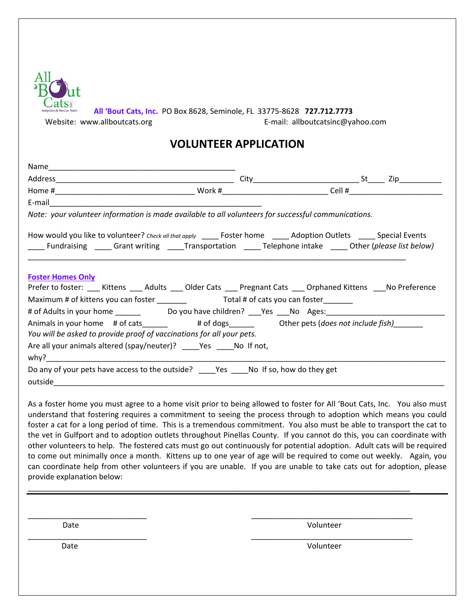| All 'Bout Cats, Inc. PO Box 8628, Seminole, FL 33775-8628 727.712.7773<br>Adoption & Rescue Team<br>E-mail: allboutcatsinc@yahoo.com<br>Website: www.allboutcats.org |  |  |  |
|----------------------------------------------------------------------------------------------------------------------------------------------------------------------|--|--|--|
| <b>VOLUNTEER APPLICATION</b>                                                                                                                                         |  |  |  |

| Note: your volunteer information is made available to all volunteers for successful communications.                                                                     |  |
|-------------------------------------------------------------------------------------------------------------------------------------------------------------------------|--|
| ____ Fundraising _____ Grant writing ____Transportation ____ Telephone intake _____ Other (please list below)                                                           |  |
| <b>Foster Homes Only</b><br>Prefer to foster: ___ Kittens ___ Adults ___ Older Cats ___ Pregnant Cats ___ Orphaned Kittens ___No Preference                             |  |
|                                                                                                                                                                         |  |
| Animals in your home # of cats_______ # of dogs______ Other pets (does not include fish)______<br>You will be asked to provide proof of vaccinations for all your pets. |  |
| Are all your animals altered (spay/neuter)? ______ Yes ______ No If not,                                                                                                |  |
| Do any of your pets have access to the outside? ____Yes ____No If so, how do they get                                                                                   |  |

As a foster home you must agree to a home visit prior to being allowed to foster for All 'Bout Cats, Inc. You also must understand that fostering requires a commitment to seeing the process through to adoption which means you could foster a cat for a long period of time. This is a tremendous commitment. You also must be able to transport the cat to the vet in Gulfport and to adoption outlets throughout Pinellas County. If you cannot do this, you can coordinate with other volunteers to help. The fostered cats must go out continuously for potential adoption. Adult cats will be required to come out minimally once a month. Kittens up to one year of age will be required to come out weekly. Again, you can coordinate help from other volunteers if you are unable. If you are unable to take cats out for adoption, please provide explanation below:

\_\_\_\_\_\_\_\_\_\_\_\_\_\_\_\_\_\_\_\_\_\_\_\_\_\_\_\_\_\_\_\_\_\_\_\_\_\_\_\_\_\_\_\_\_\_\_\_\_\_\_\_\_\_\_\_\_\_\_\_\_\_\_\_\_\_\_\_\_\_\_\_\_\_\_\_\_\_\_\_\_\_\_\_\_\_\_\_\_\_

\_\_\_\_\_\_\_\_\_\_\_\_\_\_\_\_\_\_\_\_\_\_\_\_\_\_\_\_ \_\_\_\_\_\_\_\_\_\_\_\_\_\_\_\_\_\_\_\_\_\_\_\_\_\_\_\_\_\_\_\_\_\_\_\_\_\_

\_\_\_\_\_\_\_\_\_\_\_\_\_\_\_\_\_\_\_\_\_\_\_\_\_\_\_\_ \_\_\_\_\_\_\_\_\_\_\_\_\_\_\_\_\_\_\_\_\_\_\_\_\_\_\_\_\_\_\_\_\_\_\_\_\_\_

Date Volunteer

Date Volunteer